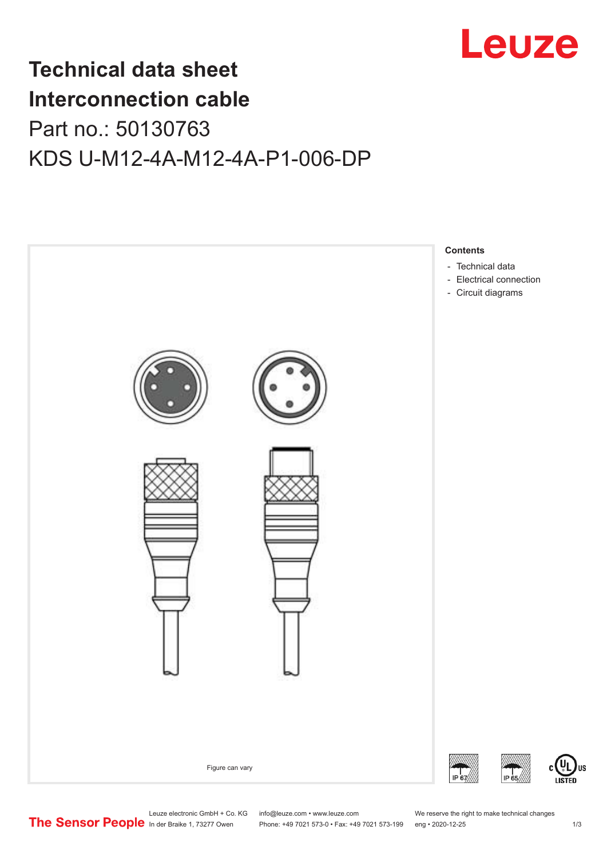

## **Technical data sheet Interconnection cable** Part no.: 50130763 KDS U-M12-4A-M12-4A-P1-006-DP



Leuze electronic GmbH + Co. KG info@leuze.com • www.leuze.com We reserve the right to make technical changes<br>
The Sensor People in der Braike 1, 73277 Owen Phone: +49 7021 573-0 • Fax: +49 7021 573-199 eng • 2020-12-25

Phone: +49 7021 573-0 • Fax: +49 7021 573-199 eng • 2020-12-25 1 2020-12-25

US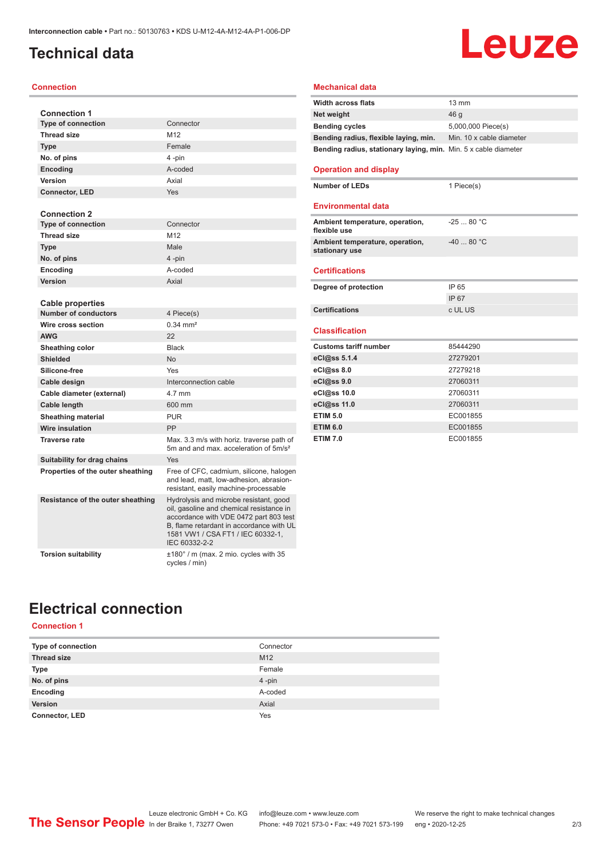### <span id="page-1-0"></span>**Technical data**

#### **Connection**

| <b>Connection 1</b>               |                                                                                                                                                                                                                                |
|-----------------------------------|--------------------------------------------------------------------------------------------------------------------------------------------------------------------------------------------------------------------------------|
| <b>Type of connection</b>         | Connector                                                                                                                                                                                                                      |
| <b>Thread size</b>                | M12                                                                                                                                                                                                                            |
| <b>Type</b>                       | Female                                                                                                                                                                                                                         |
| No. of pins                       | 4-pin                                                                                                                                                                                                                          |
| Encoding                          | A-coded                                                                                                                                                                                                                        |
| Version                           | Axial                                                                                                                                                                                                                          |
| <b>Connector, LED</b>             | Yes                                                                                                                                                                                                                            |
|                                   |                                                                                                                                                                                                                                |
| <b>Connection 2</b>               |                                                                                                                                                                                                                                |
| <b>Type of connection</b>         | Connector                                                                                                                                                                                                                      |
| <b>Thread size</b>                | M <sub>12</sub>                                                                                                                                                                                                                |
| <b>Type</b>                       | Male                                                                                                                                                                                                                           |
| No. of pins                       | 4-pin                                                                                                                                                                                                                          |
| Encoding                          | A-coded                                                                                                                                                                                                                        |
| Version                           | Axial                                                                                                                                                                                                                          |
|                                   |                                                                                                                                                                                                                                |
| <b>Cable properties</b>           |                                                                                                                                                                                                                                |
| <b>Number of conductors</b>       | 4 Piece(s)                                                                                                                                                                                                                     |
| Wire cross section                | $0.34 \, \text{mm}^2$                                                                                                                                                                                                          |
| <b>AWG</b>                        | 22                                                                                                                                                                                                                             |
| <b>Sheathing color</b>            | <b>Black</b>                                                                                                                                                                                                                   |
| <b>Shielded</b>                   | <b>No</b>                                                                                                                                                                                                                      |
| Silicone-free                     | Yes                                                                                                                                                                                                                            |
| Cable design                      | Interconnection cable                                                                                                                                                                                                          |
| Cable diameter (external)         | 4.7 mm                                                                                                                                                                                                                         |
| Cable length                      | 600 mm                                                                                                                                                                                                                         |
| <b>Sheathing material</b>         | <b>PUR</b>                                                                                                                                                                                                                     |
| <b>Wire insulation</b>            | PP                                                                                                                                                                                                                             |
| <b>Traverse rate</b>              | Max, 3.3 m/s with horiz, traverse path of<br>5m and and max, acceleration of 5m/s <sup>2</sup>                                                                                                                                 |
| Suitability for drag chains       | Yes                                                                                                                                                                                                                            |
| Properties of the outer sheathing | Free of CFC, cadmium, silicone, halogen<br>and lead, matt, low-adhesion, abrasion-<br>resistant, easily machine-processable                                                                                                    |
| Resistance of the outer sheathing | Hydrolysis and microbe resistant, good<br>oil, gasoline and chemical resistance in<br>accordance with VDE 0472 part 803 test<br>B, flame retardant in accordance with UL<br>1581 VW1 / CSA FT1 / IEC 60332-1,<br>IEC 60332-2-2 |
| <b>Torsion suitability</b>        | $\pm 180^\circ$ / m (max. 2 mio. cycles with 35<br>cycles / min)                                                                                                                                                               |

#### **Mechanical data**

| <b>Width across flats</b>                                       | $13 \text{ mm}$          |
|-----------------------------------------------------------------|--------------------------|
| Net weight                                                      | 46 q                     |
| <b>Bending cycles</b>                                           | 5,000,000 Piece(s)       |
| Bending radius, flexible laying, min.                           | Min. 10 x cable diameter |
| Bending radius, stationary laying, min. Min. 5 x cable diameter |                          |

Leuze

#### **Operation and display**

**Number of LEDs** 1 Piece(s)

#### **Environmental data**

| Ambient temperature, operation,<br>flexible use   | $-2580 °C$ |
|---------------------------------------------------|------------|
| Ambient temperature, operation,<br>stationary use | $-4080 °C$ |
| <b>Certifications</b>                             |            |
|                                                   |            |
| Degree of protection                              | IP 65      |
|                                                   | IP 67      |
| <b>Certifications</b>                             | c UL US    |
| <b>Classification</b>                             |            |
| <b>Customs tariff number</b>                      | 85444290   |
| eCl@ss 5.1.4                                      | 27279201   |
| eCl@ss 8.0                                        | 27279218   |
| eCl@ss 9.0                                        | 27060311   |
| eCl@ss 10.0                                       | 27060311   |
| eCl@ss 11.0                                       | 27060311   |
| <b>ETIM 5.0</b>                                   | EC001855   |
| <b>ETIM 6.0</b>                                   | EC001855   |

**ETIM 7.0** EC001855

### **Electrical connection**

**Connection 1**

| Type of connection    | Connector       |
|-----------------------|-----------------|
| <b>Thread size</b>    | M <sub>12</sub> |
| <b>Type</b>           | Female          |
| No. of pins           | $4 - pin$       |
| Encoding              | A-coded         |
| Version               | Axial           |
| <b>Connector, LED</b> | Yes             |